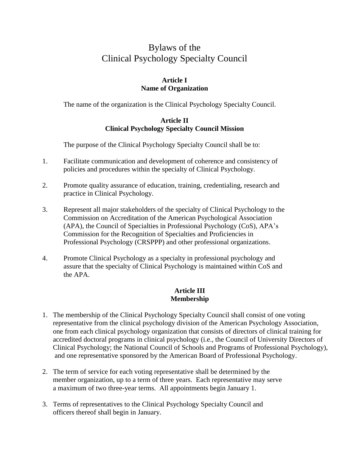# Bylaws of the Clinical Psychology Specialty Council

## **Article I Name of Organization**

The name of the organization is the Clinical Psychology Specialty Council.

## **Article II Clinical Psychology Specialty Council Mission**

The purpose of the Clinical Psychology Specialty Council shall be to:

- 1. Facilitate communication and development of coherence and consistency of policies and procedures within the specialty of Clinical Psychology.
- 2. Promote quality assurance of education, training, credentialing, research and practice in Clinical Psychology.
- 3. Represent all major stakeholders of the specialty of Clinical Psychology to the Commission on Accreditation of the American Psychological Association (APA), the Council of Specialties in Professional Psychology (CoS), APA's Commission for the Recognition of Specialties and Proficiencies in Professional Psychology (CRSPPP) and other professional organizations.
- 4. Promote Clinical Psychology as a specialty in professional psychology and assure that the specialty of Clinical Psychology is maintained within CoS and the APA.

## **Article III Membership**

- 1. The membership of the Clinical Psychology Specialty Council shall consist of one voting representative from the clinical psychology division of the American Psychology Association, one from each clinical psychology organization that consists of directors of clinical training for accredited doctoral programs in clinical psychology (i.e., the Council of University Directors of Clinical Psychology; the National Council of Schools and Programs of Professional Psychology), and one representative sponsored by the American Board of Professional Psychology.
- 2. The term of service for each voting representative shall be determined by the member organization, up to a term of three years. Each representative may serve a maximum of two three-year terms. All appointments begin January 1.
- 3. Terms of representatives to the Clinical Psychology Specialty Council and officers thereof shall begin in January.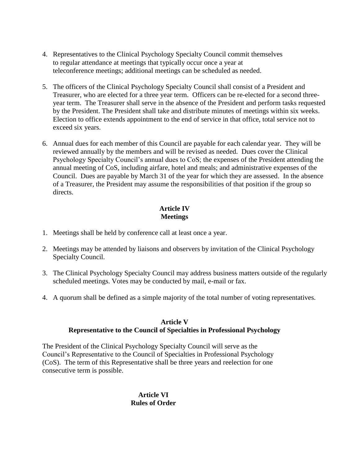- 4. Representatives to the Clinical Psychology Specialty Council commit themselves to regular attendance at meetings that typically occur once a year at teleconference meetings; additional meetings can be scheduled as needed.
- 5. The officers of the Clinical Psychology Specialty Council shall consist of a President and Treasurer, who are elected for a three year term. Officers can be re-elected for a second threeyear term. The Treasurer shall serve in the absence of the President and perform tasks requested by the President. The President shall take and distribute minutes of meetings within six weeks. Election to office extends appointment to the end of service in that office, total service not to exceed six years.
- 6. Annual dues for each member of this Council are payable for each calendar year. They will be reviewed annually by the members and will be revised as needed. Dues cover the Clinical Psychology Specialty Council's annual dues to CoS; the expenses of the President attending the annual meeting of CoS, including airfare, hotel and meals; and administrative expenses of the Council. Dues are payable by March 31 of the year for which they are assessed. In the absence of a Treasurer, the President may assume the responsibilities of that position if the group so directs.

## **Article IV Meetings**

- 1. Meetings shall be held by conference call at least once a year.
- 2. Meetings may be attended by liaisons and observers by invitation of the Clinical Psychology Specialty Council.
- 3. The Clinical Psychology Specialty Council may address business matters outside of the regularly scheduled meetings. Votes may be conducted by mail, e-mail or fax.
- 4. A quorum shall be defined as a simple majority of the total number of voting representatives.

## **Article V**

## **Representative to the Council of Specialties in Professional Psychology**

The President of the Clinical Psychology Specialty Council will serve as the Council's Representative to the Council of Specialties in Professional Psychology (CoS). The term of this Representative shall be three years and reelection for one consecutive term is possible.

> **Article VI Rules of Order**